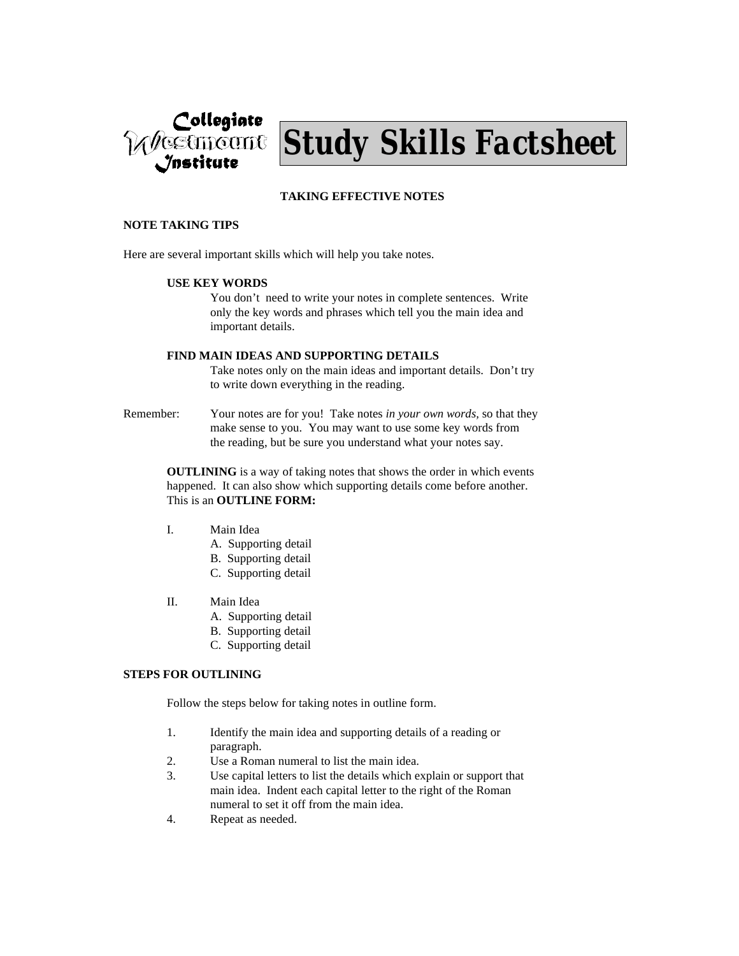



# **TAKING EFFECTIVE NOTES**

#### **NOTE TAKING TIPS**

Here are several important skills which will help you take notes.

#### **USE KEY WORDS**

You don't need to write your notes in complete sentences. Write only the key words and phrases which tell you the main idea and important details.

#### **FIND MAIN IDEAS AND SUPPORTING DETAILS**

Take notes only on the main ideas and important details. Don't try to write down everything in the reading.

Remember: Your notes are for you! Take notes *in your own words,* so that they make sense to you. You may want to use some key words from the reading, but be sure you understand what your notes say.

> **OUTLINING** is a way of taking notes that shows the order in which events happened. It can also show which supporting details come before another. This is an **OUTLINE FORM:**

- I. Main Idea
	- A. Supporting detail
	- B. Supporting detail
	- C. Supporting detail
- II. Main Idea
	- A. Supporting detail
	- B. Supporting detail
	- C. Supporting detail

## **STEPS FOR OUTLINING**

Follow the steps below for taking notes in outline form.

- 1. Identify the main idea and supporting details of a reading or paragraph.
- 2. Use a Roman numeral to list the main idea.
- 3. Use capital letters to list the details which explain or support that main idea. Indent each capital letter to the right of the Roman numeral to set it off from the main idea.
- 4. Repeat as needed.